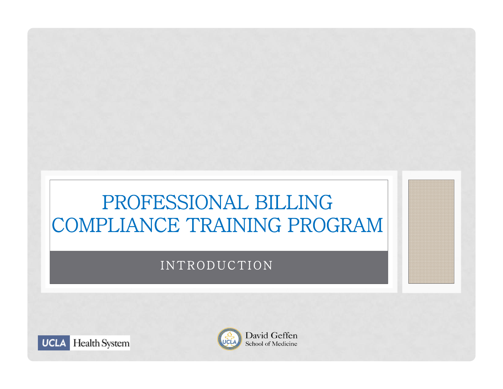## PROFESSIONAL BILLING COMPLIANCE TRAINING PROGRAM

#### INTRODUCTION



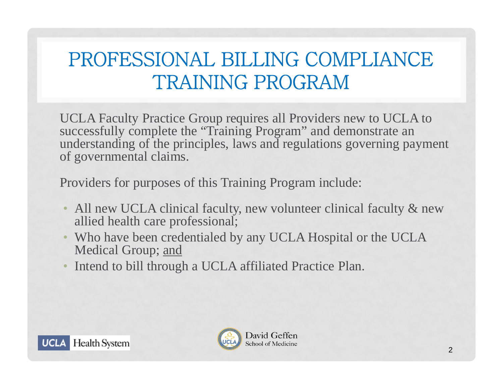## PROFESSIONAL BILLING COMPLIANCE TRAINING PROGRAM

UCLA Faculty Practice Group requires all Providers new to UCLA to successfully complete the "Training Program" and demonstrate an understanding of the principles, laws and regulations governing payment of governmental claims.

Providers for purposes of this Training Program include:

- All new UCLA clinical faculty, new volunteer clinical faculty & new allied health care professional;
- Who have been credentialed by any UCLA Hospital or the UCLA Medical Group; and
- $\bullet$ Intend to bill through a UCLA affiliated Practice Plan.



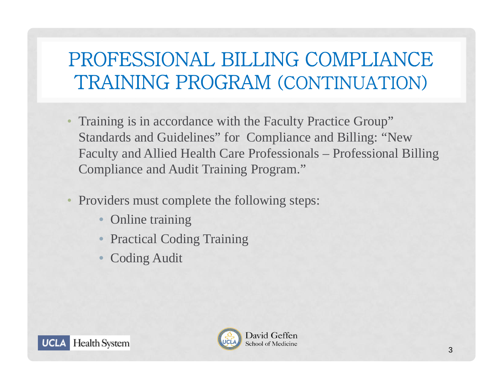## PROFESSIONAL BILLING COMPLIANCE TRAINING PROGRAM (CONTINUATION)

- $\bullet$  Training is in accordance with the Faculty Practice Group" Standards and Guidelines" for Compliance and Billing: "New Faculty and Allied Health Care Professionals – Professional Billing Compliance and Audit Training Program."
- $\bullet$  Providers must complete the following steps:
	- $\bullet$ Online training
	- $\bullet$ Practical Coding Training
	- $\bullet$ Coding Audit



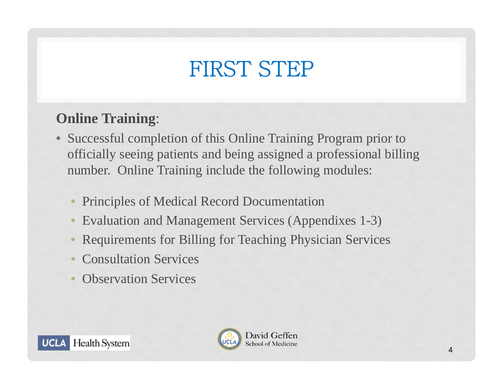# FIRST STEP

### **Online Training**:

- Successful completion of this Online Training Program prior to officially seeing patients and being assigned a professional billing number. Online Training include the following modules:
	- •Principles of Medical Record Documentation
	- $\bullet$ Evaluation and Management Services (Appendixes 1-3)
	- $\bullet$ Requirements for Billing for Teaching Physician Services
	- •Consultation Services
	- •Observation Services



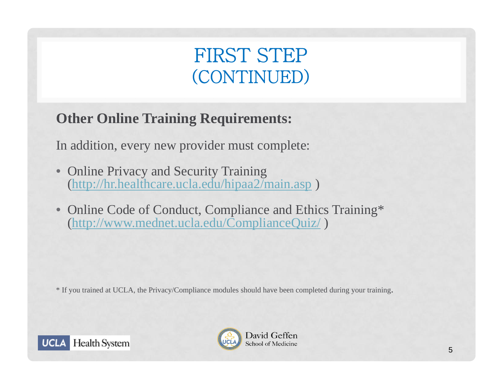## FIRST STEP (CONTINUED)

### **Other Online Training Requirements:**

In addition, every new provider must complete:

- • Online Privacy and Security Training (http://hr.healthcare.ucla.edu/hipaa2/main.asp )
- • Online Code of Conduct, Compliance and Ethics Training\* (http://www.mednet.ucla.edu/ComplianceQuiz/ )

\* If you trained at UCLA, the Privacy/Compliance modules should have been completed during your training.



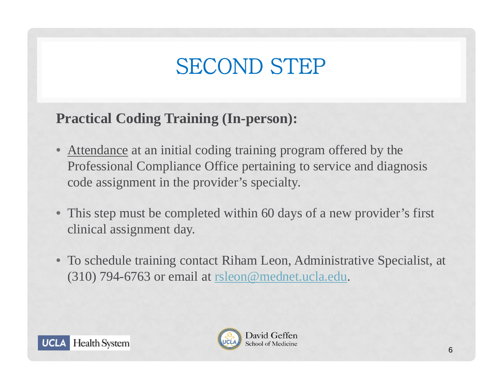# SECOND STEP

### **Practical Coding Training (In-person):**

- $\bullet$  Attendance at an initial coding training program offered by the Professional Compliance Office pertaining to service and diagnosis code assignment in the provider's specialty.
- This step must be completed within 60 days of a new provider's first clinical assignment day.
- To schedule training contact Riham Leon, Administrative Specialist, at (310) 794-6763 or email at rsleon@mednet.ucla.edu.



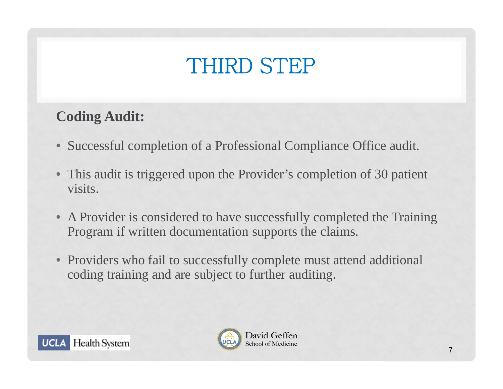# THIRD STEP

### **Coding Audit:**

- Successful completion of a Professional Compliance Office audit.
- This audit is triggered upon the Provider's completion of 30 patient visits.
- A Provider is considered to have successfully completed the Training Program if written documentation supports the claims.
- Providers who fail to successfully complete must attend additional coding training and are subject to further auditing.



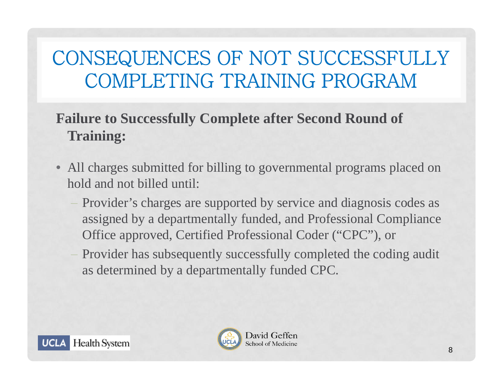## CONSEQUENCES OF NOT SUCCESSFULLY COMPLETING TRAINING PROGRAM

### **Failure to Successfully Complete after Second Round of Training:**

- • All charges submitted for billing to governmental programs placed on hold and not billed until:
	- Provider's charges are supported by service and diagnosis codes as assigned by a departmentally funded, and Professional Compliance Office approved, Certified Professional Coder ("CPC"), or
	- Provider has subsequently successfully completed the coding audit as determined by a departmentally funded CPC.



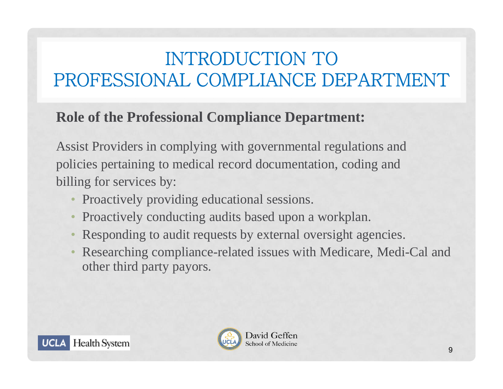## INTRODUCTION TO PROFESSIONAL COMPLIANCE DEPARTMENT

#### **Role of the Professional Compliance Department:**

Assist Providers in complying with governmental regulations and policies pertaining to medical record documentation, coding and billing for services by:

- Proactively providing educational sessions.
- •Proactively conducting audits based upon a workplan.
- Responding to audit requests by external oversight agencies.
- • Researching compliance-related issues with Medicare, Medi-Cal and other third party payors.



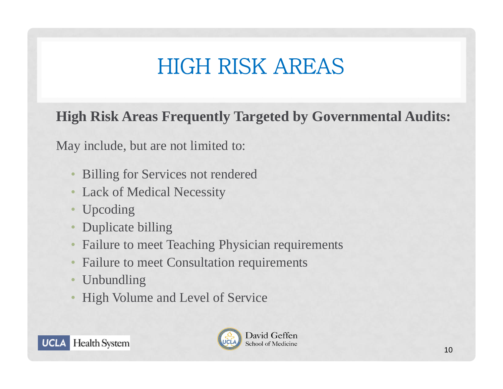# HIGH RISK AREAS

**High Risk Areas Frequently Targeted by Governmental Audits:**

May include, but are not limited to:

- •Billing for Services not rendered
- •Lack of Medical Necessity
- •Upcoding
- •Duplicate billing
- •Failure to meet Teaching Physician requirements
- •Failure to meet Consultation requirements
- •Unbundling
- •High Volume and Level of Service



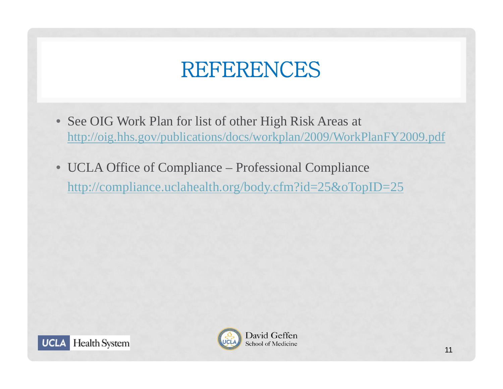# REFERENCES

- See OIG Work Plan for list of other High Risk Areas at http://oig.hhs.gov/publications/docs/workplan/2009/WorkPlanFY2009.pdf
- UCLA Office of Compliance Professional Compliance http://compliance.uclahealth.org/body.cfm?id=25&oTopID=25